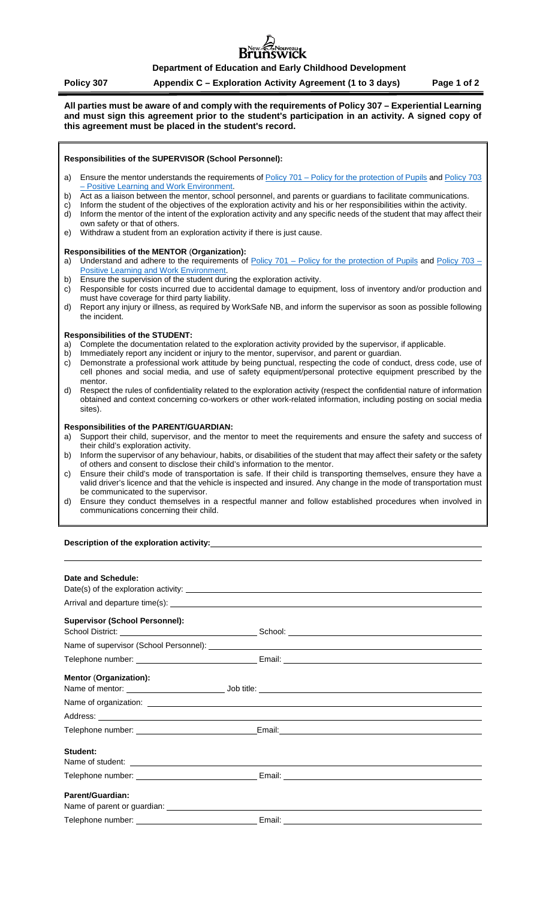# ouveau<br>**N1CK**

# **Department of Education and Early Childhood Development**

# **Policy 307 Appendix C – Exploration Activity Agreement (1 to 3 days) Page 1 of 2**

**All parties must be aware of and comply with the requirements of Policy 307 – Experiential Learning and must sign this agreement prior to the student's participation in an activity. A signed copy of this agreement must be placed in the student's record.**

#### **Responsibilities of the SUPERVISOR (School Personnel):**

- a) Ensure the mentor understands the requirements of Policy 701 [Policy for the protection of Pupils](https://www2.gnb.ca/content/dam/gnb/Departments/ed/pdf/K12/policies-politiques/e/701A.pdf) and Policy 703 – [Positive Learning and Work Environment.](https://www2.gnb.ca/content/gnb/en/departments/education/k12/content/policies.html)
- b) Act as a liaison between the mentor, school personnel, and parents or guardians to facilitate communications.
- c) Inform the student of the objectives of the exploration activity and his or her responsibilities within the activity. d) Inform the mentor of the intent of the exploration activity and any specific needs of the student that may affect their
- own safety or that of others.
- e) Withdraw a student from an exploration activity if there is just cause.

## **Responsibilities of the MENTOR** (**Organization):**

- a) Understand and adhere to the requirements of Policy 701 [Policy for the protection of Pupils](https://www2.gnb.ca/content/dam/gnb/Departments/ed/pdf/K12/policies-politiques/e/701A.pdf) and [Policy 703 –](https://www2.gnb.ca/content/gnb/en/departments/education/k12/content/policies.html) [Positive Learning and Work Environment.](https://www2.gnb.ca/content/gnb/en/departments/education/k12/content/policies.html)
- b) Ensure the supervision of the student during the exploration activity.
- c) Responsible for costs incurred due to accidental damage to equipment, loss of inventory and/or production and must have coverage for third party liability.
- d) Report any injury or illness, as required by WorkSafe NB, and inform the supervisor as soon as possible following the incident.

#### **Responsibilities of the STUDENT:**

- Complete the documentation related to the exploration activity provided by the supervisor, if applicable.
- b) Immediately report any incident or injury to the mentor, supervisor, and parent or guardian.
- c) Demonstrate a professional work attitude by being punctual, respecting the code of conduct, dress code, use of cell phones and social media, and use of safety equipment/personal protective equipment prescribed by the mentor.
- d) Respect the rules of confidentiality related to the exploration activity (respect the confidential nature of information obtained and context concerning co-workers or other work-related information, including posting on social media sites).

#### **Responsibilities of the PARENT/GUARDIAN:**

- a) Support their child, supervisor, and the mentor to meet the requirements and ensure the safety and success of their child's exploration activity.
- b) Inform the supervisor of any behaviour, habits, or disabilities of the student that may affect their safety or the safety of others and consent to disclose their child's information to the mentor.
- c) Ensure their child's mode of transportation is safe. If their child is transporting themselves, ensure they have a valid driver's licence and that the vehicle is inspected and insured. Any change in the mode of transportation must be communicated to the supervisor.
- d) Ensure they conduct themselves in a respectful manner and follow established procedures when involved in communications concerning their child.

#### **Description of the exploration activity:**

| Date and Schedule:                    |                                                                                                                                                                                                                                      |  |
|---------------------------------------|--------------------------------------------------------------------------------------------------------------------------------------------------------------------------------------------------------------------------------------|--|
|                                       |                                                                                                                                                                                                                                      |  |
|                                       |                                                                                                                                                                                                                                      |  |
| <b>Supervisor (School Personnel):</b> |                                                                                                                                                                                                                                      |  |
|                                       |                                                                                                                                                                                                                                      |  |
|                                       |                                                                                                                                                                                                                                      |  |
|                                       |                                                                                                                                                                                                                                      |  |
| <b>Mentor (Organization):</b>         |                                                                                                                                                                                                                                      |  |
|                                       |                                                                                                                                                                                                                                      |  |
|                                       | Address: <u>example and a series of the series of the series of the series of the series of the series of the series of the series of the series of the series of the series of the series of the series of the series of the se</u> |  |
|                                       |                                                                                                                                                                                                                                      |  |
| Student:                              |                                                                                                                                                                                                                                      |  |
|                                       | Telephone number: _________________________________Email: _______________________                                                                                                                                                    |  |
| Parent/Guardian:                      |                                                                                                                                                                                                                                      |  |
|                                       |                                                                                                                                                                                                                                      |  |